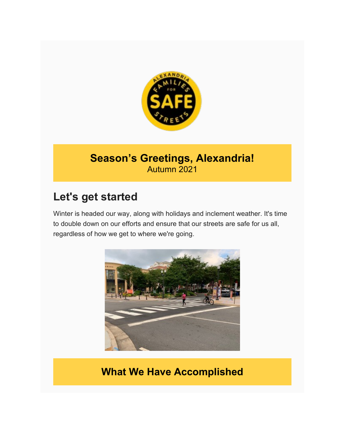

# **Season's Greetings, Alexandria!** Autumn 2021

# **Let's get started**

Winter is headed our way, along with holidays and inclement weather. It's time to double down on our efforts and ensure that our streets are safe for us all, regardless of how we get to where we're going.



# **What We Have Accomplished**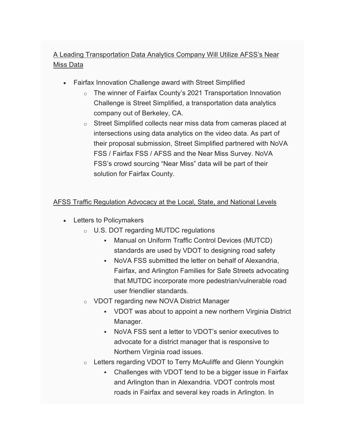### A Leading Transportation Data Analytics Company Will Utilize AFSS's Near Miss Data

- Fairfax Innovation Challenge award with Street Simplified
	- o The winner of Fairfax County's 2021 Transportation Innovation Challenge is Street Simplified, a transportation data analytics company out of Berkeley, CA.
	- o Street Simplified collects near miss data from cameras placed at intersections using data analytics on the video data. As part of their proposal submission, Street Simplified partnered with NoVA FSS / Fairfax FSS / AFSS and the Near Miss Survey. NoVA FSS's crowd sourcing "Near Miss" data will be part of their solution for Fairfax County.

#### AFSS Traffic Regulation Advocacy at the Local, State, and National Levels

- Letters to Policymakers
	- o U.S. DOT regarding MUTDC regulations
		- Manual on Uniform Traffic Control Devices (MUTCD) standards are used by VDOT to designing road safety
		- NoVA FSS submitted the letter on behalf of Alexandria, Fairfax, and Arlington Families for Safe Streets advocating that MUTDC incorporate more pedestrian/vulnerable road user friendlier standards.
	- o VDOT regarding new NOVA District Manager
		- VDOT was about to appoint a new northern Virginia District Manager.
		- NoVA FSS sent a letter to VDOT's senior executives to advocate for a district manager that is responsive to Northern Virginia road issues.
	- o Letters regarding VDOT to Terry McAuliffe and Glenn Youngkin
		- Challenges with VDOT tend to be a bigger issue in Fairfax and Arlington than in Alexandria. VDOT controls most roads in Fairfax and several key roads in Arlington. In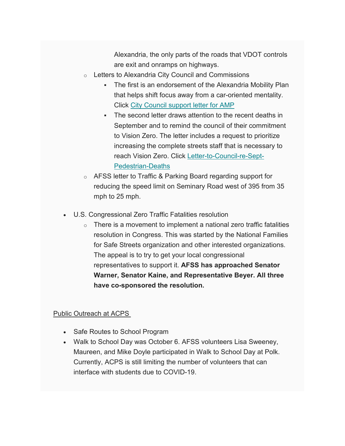Alexandria, the only parts of the roads that VDOT controls are exit and onramps on highways.

- o Letters to Alexandria City Council and Commissions
	- The first is an endorsement of the Alexandria Mobility Plan that helps shift focus away from a car-oriented mentality. Click [City Council support letter for AMP](https://www.alxffss.org/wp-content/uploads/sites/10/2021/10/Ltr-to-Alexandria-City-Council-in-support-of-AMP-Oct-2021.pdf)
	- The second letter draws attention to the recent deaths in September and to remind the council of their commitment to Vision Zero. The letter includes a request to prioritize increasing the complete streets staff that is necessary to reach Vision Zero. Click [Letter-to-Council-re-Sept-](https://www.alxffss.org/wp-content/uploads/sites/10/2021/10/AFSS-Letter-to-Council-re-Sept-Pedestrian-Deaths-Oct-2021.pdf)[Pedestrian-Deaths](https://www.alxffss.org/wp-content/uploads/sites/10/2021/10/AFSS-Letter-to-Council-re-Sept-Pedestrian-Deaths-Oct-2021.pdf)
- o AFSS letter to Traffic & Parking Board regarding support for reducing the speed limit on Seminary Road west of 395 from 35 mph to 25 mph.
- U.S. Congressional Zero Traffic Fatalities resolution
	- $\circ$  There is a movement to implement a national zero traffic fatalities resolution in Congress. This was started by the National Families for Safe Streets organization and other interested organizations. The appeal is to try to get your local congressional representatives to support it. **AFSS has approached Senator Warner, Senator Kaine, and Representative Beyer. All three have co-sponsored the resolution.**

#### Public Outreach at ACPS

- Safe Routes to School Program
- Walk to School Day was October 6. AFSS volunteers Lisa Sweeney, Maureen, and Mike Doyle participated in Walk to School Day at Polk. Currently, ACPS is still limiting the number of volunteers that can interface with students due to COVID-19.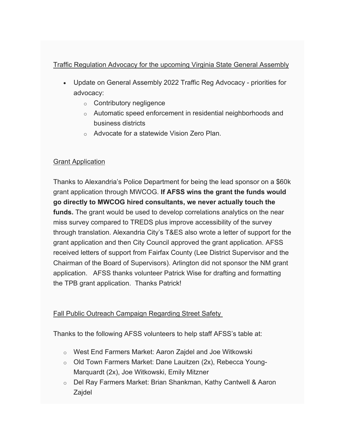#### Traffic Regulation Advocacy for the upcoming Virginia State General Assembly

- Update on General Assembly 2022 Traffic Reg Advocacy priorities for advocacy:
	- o Contributory negligence
	- o Automatic speed enforcement in residential neighborhoods and business districts
	- o Advocate for a statewide Vision Zero Plan.

#### Grant Application

Thanks to Alexandria's Police Department for being the lead sponsor on a \$60k grant application through MWCOG. **If AFSS wins the grant the funds would go directly to MWCOG hired consultants, we never actually touch the funds.** The grant would be used to develop correlations analytics on the near miss survey compared to TREDS plus improve accessibility of the survey through translation. Alexandria City's T&ES also wrote a letter of support for the grant application and then City Council approved the grant application. AFSS received letters of support from Fairfax County (Lee District Supervisor and the Chairman of the Board of Supervisors). Arlington did not sponsor the NM grant application. AFSS thanks volunteer Patrick Wise for drafting and formatting the TPB grant application. Thanks Patrick!

#### Fall Public Outreach Campaign Regarding Street Safety

Thanks to the following AFSS volunteers to help staff AFSS's table at:

- o West End Farmers Market: Aaron Zajdel and Joe Witkowski
- o Old Town Farmers Market: Dane Lauitzen (2x), Rebecca Young-Marquardt (2x), Joe Witkowski, Emily Mitzner
- o Del Ray Farmers Market: Brian Shankman, Kathy Cantwell & Aaron Zajdel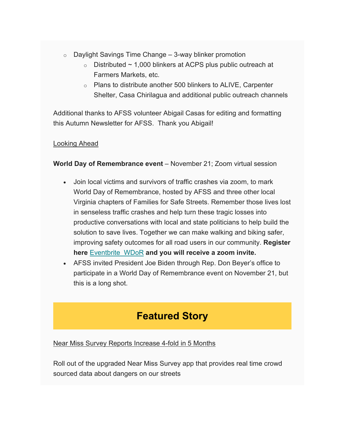- $\circ$  Daylight Savings Time Change 3-way blinker promotion
	- $\circ$  Distributed  $\sim$  1,000 blinkers at ACPS plus public outreach at Farmers Markets, etc.
	- $\circ$  Plans to distribute another 500 blinkers to ALIVE, Carpenter Shelter, Casa Chirilagua and additional public outreach channels

Additional thanks to AFSS volunteer Abigail Casas for editing and formatting this Autumn Newsletter for AFSS. Thank you Abigail!

#### Looking Ahead

**World Day of Remembrance event** – November 21; Zoom virtual session

- Join local victims and survivors of traffic crashes via zoom, to mark World Day of Remembrance, hosted by AFSS and three other local Virginia chapters of Families for Safe Streets. Remember those lives lost in senseless traffic crashes and help turn these tragic losses into productive conversations with local and state politicians to help build the solution to save lives. Together we can make walking and biking safer, improving safety outcomes for all road users in our community. **Register here** [Eventbrite\\_WDoR](https://www.eventbrite.com/e/world-day-of-remembrance-2021-virginia-families-for-safe-streets-tickets-207193570547) **and you will receive a zoom invite.**
- AFSS invited President Joe Biden through Rep. Don Beyer's office to participate in a World Day of Remembrance event on November 21, but this is a long shot.

# **Featured Story**

#### Near Miss Survey Reports Increase 4-fold in 5 Months

Roll out of the upgraded Near Miss Survey app that provides real time crowd sourced data about dangers on our streets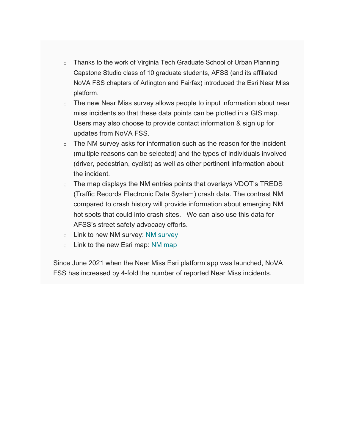- o Thanks to the work of Virginia Tech Graduate School of Urban Planning Capstone Studio class of 10 graduate students, AFSS (and its affiliated NoVA FSS chapters of Arlington and Fairfax) introduced the Esri Near Miss platform.
- o The new Near Miss survey allows people to input information about near miss incidents so that these data points can be plotted in a GIS map. Users may also choose to provide contact information & sign up for updates from NoVA FSS.
- o The NM survey asks for information such as the reason for the incident (multiple reasons can be selected) and the types of individuals involved (driver, pedestrian, cyclist) as well as other pertinent information about the incident.
- o The map displays the NM entries points that overlays VDOT's TREDS (Traffic Records Electronic Data System) crash data. The contrast NM compared to crash history will provide information about emerging NM hot spots that could into crash sites. We can also use this data for AFSS's street safety advocacy efforts.
- o Link to new NM survey: [NM survey](https://survey123.arcgis.com/share/a6dfdc029269422fa0dcb37e61cdd76f)
- o Link to the new Esri map: [NM map](https://www.arcgis.com/apps/dashboards/5169e45e4b364614a0e1afeef8ea6c57)

Since June 2021 when the Near Miss Esri platform app was launched, NoVA FSS has increased by 4-fold the number of reported Near Miss incidents.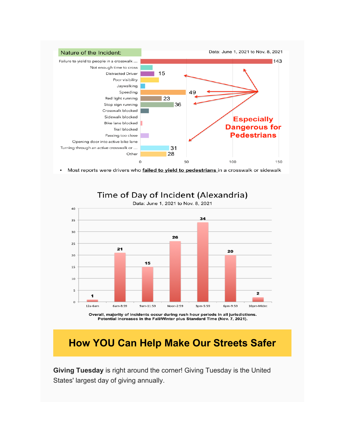

### Time of Day of Incident (Alexandria)



Overall, majority of incidents occur during rush hour periods in all jurisdictions. Potential increases in the Fall/Winter plus Standard Time (Nov. 7, 2021).

# **How YOU Can Help Make Our Streets Safer**

**Giving Tuesday** is right around the corner! Giving Tuesday is the United States' largest day of giving annually.